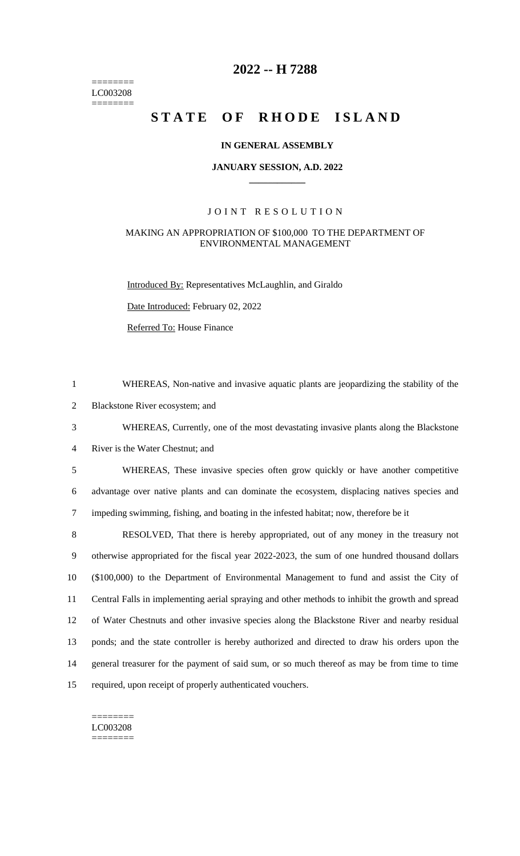======== LC003208 ========

# **2022 -- H 7288**

# **STATE OF RHODE ISLAND**

### **IN GENERAL ASSEMBLY**

### **JANUARY SESSION, A.D. 2022 \_\_\_\_\_\_\_\_\_\_\_\_**

### JOINT RESOLUTION

### MAKING AN APPROPRIATION OF \$100,000 TO THE DEPARTMENT OF ENVIRONMENTAL MANAGEMENT

Introduced By: Representatives McLaughlin, and Giraldo

Date Introduced: February 02, 2022

Referred To: House Finance

1 WHEREAS, Non-native and invasive aquatic plants are jeopardizing the stability of the

2 Blackstone River ecosystem; and

3 WHEREAS, Currently, one of the most devastating invasive plants along the Blackstone

4 River is the Water Chestnut; and

5 WHEREAS, These invasive species often grow quickly or have another competitive 6 advantage over native plants and can dominate the ecosystem, displacing natives species and 7 impeding swimming, fishing, and boating in the infested habitat; now, therefore be it

 RESOLVED, That there is hereby appropriated, out of any money in the treasury not otherwise appropriated for the fiscal year 2022-2023, the sum of one hundred thousand dollars (\$100,000) to the Department of Environmental Management to fund and assist the City of Central Falls in implementing aerial spraying and other methods to inhibit the growth and spread of Water Chestnuts and other invasive species along the Blackstone River and nearby residual ponds; and the state controller is hereby authorized and directed to draw his orders upon the general treasurer for the payment of said sum, or so much thereof as may be from time to time required, upon receipt of properly authenticated vouchers.

#### ======== LC003208

========